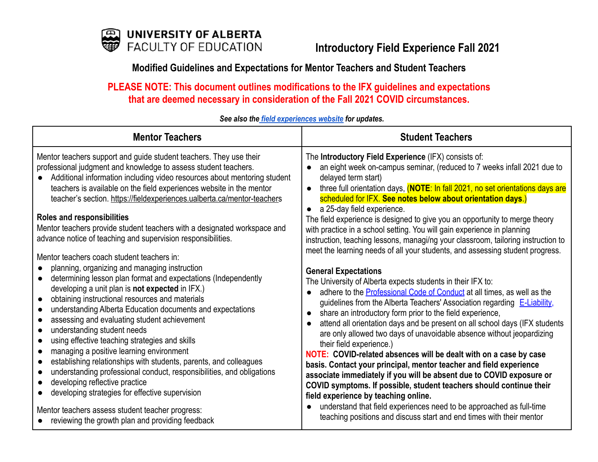

# **Modified Guidelines and Expectations for Mentor Teachers and Student Teachers**

**PLEASE NOTE: This document outlines modifications to the IFX guidelines and expectations that are deemed necessary in consideration of the Fall 2021 COVID circumstances.**

| <b>Mentor Teachers</b>                                                                                                                                                                                                                                                                                                                                                                                                                                                                                                                                                                                                                                                                                                                                                                                                                                                                                                                                                                                                                                                                                                                       | <b>Student Teachers</b>                                                                                                                                                                                                                                                                                                                                                                                                                                                                                                                                                                                                                                                                                                                                                                                                                                                                                                                                                                                                                                                                                                                                                                                                                                                                                                                                                                        |
|----------------------------------------------------------------------------------------------------------------------------------------------------------------------------------------------------------------------------------------------------------------------------------------------------------------------------------------------------------------------------------------------------------------------------------------------------------------------------------------------------------------------------------------------------------------------------------------------------------------------------------------------------------------------------------------------------------------------------------------------------------------------------------------------------------------------------------------------------------------------------------------------------------------------------------------------------------------------------------------------------------------------------------------------------------------------------------------------------------------------------------------------|------------------------------------------------------------------------------------------------------------------------------------------------------------------------------------------------------------------------------------------------------------------------------------------------------------------------------------------------------------------------------------------------------------------------------------------------------------------------------------------------------------------------------------------------------------------------------------------------------------------------------------------------------------------------------------------------------------------------------------------------------------------------------------------------------------------------------------------------------------------------------------------------------------------------------------------------------------------------------------------------------------------------------------------------------------------------------------------------------------------------------------------------------------------------------------------------------------------------------------------------------------------------------------------------------------------------------------------------------------------------------------------------|
| Mentor teachers support and guide student teachers. They use their<br>professional judgment and knowledge to assess student teachers.<br>Additional information including video resources about mentoring student<br>teachers is available on the field experiences website in the mentor<br>teacher's section. https://fieldexperiences.ualberta.ca/mentor-teachers<br><b>Roles and responsibilities</b><br>Mentor teachers provide student teachers with a designated workspace and<br>advance notice of teaching and supervision responsibilities.<br>Mentor teachers coach student teachers in:<br>planning, organizing and managing instruction<br>determining lesson plan format and expectations (Independently<br>developing a unit plan is not expected in IFX.)<br>obtaining instructional resources and materials<br>understanding Alberta Education documents and expectations<br>assessing and evaluating student achievement<br>understanding student needs<br>using effective teaching strategies and skills<br>managing a positive learning environment<br>establishing relationships with students, parents, and colleagues | The Introductory Field Experience (IFX) consists of:<br>an eight week on-campus seminar, (reduced to 7 weeks infall 2021 due to<br>delayed term start)<br>three full orientation days, (NOTE: In fall 2021, no set orientations days are<br>$\bullet$<br>scheduled for IFX. See notes below about orientation days.)<br>a 25-day field experience.<br>$\bullet$<br>The field experience is designed to give you an opportunity to merge theory<br>with practice in a school setting. You will gain experience in planning<br>instruction, teaching lessons, managi/ng your classroom, tailoring instruction to<br>meet the learning needs of all your students, and assessing student progress.<br><b>General Expectations</b><br>The University of Alberta expects students in their IFX to:<br>adhere to the <b>Professional Code of Conduct</b> at all times, as well as the<br>$\bullet$<br>guidelines from the Alberta Teachers' Association regarding E-Liability,<br>share an introductory form prior to the field experience,<br>$\bullet$<br>attend all orientation days and be present on all school days (IFX students<br>$\bullet$<br>are only allowed two days of unavoidable absence without jeopardizing<br>their field experience.)<br>NOTE: COVID-related absences will be dealt with on a case by case<br>basis. Contact your principal, mentor teacher and field experience |
| understanding professional conduct, responsibilities, and obligations<br>developing reflective practice<br>developing strategies for effective supervision                                                                                                                                                                                                                                                                                                                                                                                                                                                                                                                                                                                                                                                                                                                                                                                                                                                                                                                                                                                   | associate immediately if you will be absent due to COVID exposure or<br>COVID symptoms. If possible, student teachers should continue their<br>field experience by teaching online.<br>understand that field experiences need to be approached as full-time<br>$\bullet$                                                                                                                                                                                                                                                                                                                                                                                                                                                                                                                                                                                                                                                                                                                                                                                                                                                                                                                                                                                                                                                                                                                       |
| Mentor teachers assess student teacher progress:<br>reviewing the growth plan and providing feedback                                                                                                                                                                                                                                                                                                                                                                                                                                                                                                                                                                                                                                                                                                                                                                                                                                                                                                                                                                                                                                         | teaching positions and discuss start and end times with their mentor                                                                                                                                                                                                                                                                                                                                                                                                                                                                                                                                                                                                                                                                                                                                                                                                                                                                                                                                                                                                                                                                                                                                                                                                                                                                                                                           |

# *See also the field [experiences](https://fieldexperiences.ualberta.ca/) website for updates.*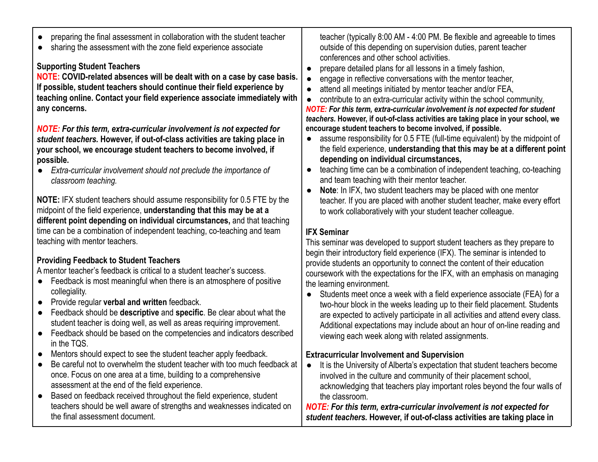- preparing the final assessment in collaboration with the student teacher
- sharing the assessment with the zone field experience associate

### **Supporting Student Teachers**

**NOTE: COVID-related absences will be dealt with on a case by case basis. If possible, student teachers should continue their field experience by teaching online. Contact your field experience associate immediately with any concerns.**

*NOTE: For this term, extra-curricular involvement is not expected for student teachers.* **However, if out-of-class activities are taking place in your school, we encourage student teachers to become involved, if possible.**

● *Extra-curricular involvement should not preclude the importance of classroom teaching.*

**NOTE:** IFX student teachers should assume responsibility for 0.5 FTE by the midpoint of the field experience, **understanding that this may be at a different point depending on individual circumstances,** and that teaching time can be a combination of independent teaching, co-teaching and team teaching with mentor teachers.

# **Providing Feedback to Student Teachers**

A mentor teacher's feedback is critical to a student teacher's success.

- Feedback is most meaningful when there is an atmosphere of positive collegiality.
- Provide regular **verbal and written** feedback.
- Feedback should be **descriptive** and **specific**. Be clear about what the student teacher is doing well, as well as areas requiring improvement.
- Feedback should be based on the competencies and indicators described in the TQS.
- Mentors should expect to see the student teacher apply feedback.
- Be careful not to overwhelm the student teacher with too much feedback at once. Focus on one area at a time, building to a comprehensive assessment at the end of the field experience.
- Based on feedback received throughout the field experience, student teachers should be well aware of strengths and weaknesses indicated on the final assessment document.

teacher (typically 8:00 AM - 4:00 PM. Be flexible and agreeable to times outside of this depending on supervision duties, parent teacher conferences and other school activities.

- prepare detailed plans for all lessons in a timely fashion,
- engage in reflective conversations with the mentor teacher,
- attend all meetings initiated by mentor teacher and/or FEA,
- contribute to an extra-curricular activity within the school community,

*NOTE: For this term, extra-curricular involvement is not expected for student teachers.* **However, if out-of-class activities are taking place in your school, we encourage student teachers to become involved, if possible.**

- assume responsibility for 0.5 FTE (full-time equivalent) by the midpoint of the field experience, **understanding that this may be at a different point depending on individual circumstances,**
- teaching time can be a combination of independent teaching, co-teaching and team teaching with their mentor teacher.
- **Note**: In IFX, two student teachers may be placed with one mentor teacher. If you are placed with another student teacher, make every effort to work collaboratively with your student teacher colleague.

# **IFX Seminar**

This seminar was developed to support student teachers as they prepare to begin their introductory field experience (IFX). The seminar is intended to provide students an opportunity to connect the content of their education coursework with the expectations for the IFX, with an emphasis on managing the learning environment.

● Students meet once a week with a field experience associate (FEA) for a two-hour block in the weeks leading up to their field placement. Students are expected to actively participate in all activities and attend every class. Additional expectations may include about an hour of on-line reading and viewing each week along with related assignments.

# **Extracurricular Involvement and Supervision**

● It is the University of Alberta's expectation that student teachers become involved in the culture and community of their placement school, acknowledging that teachers play important roles beyond the four walls of the classroom.

*NOTE: For this term, extra-curricular involvement is not expected for student teachers.* **However, if out-of-class activities are taking place in**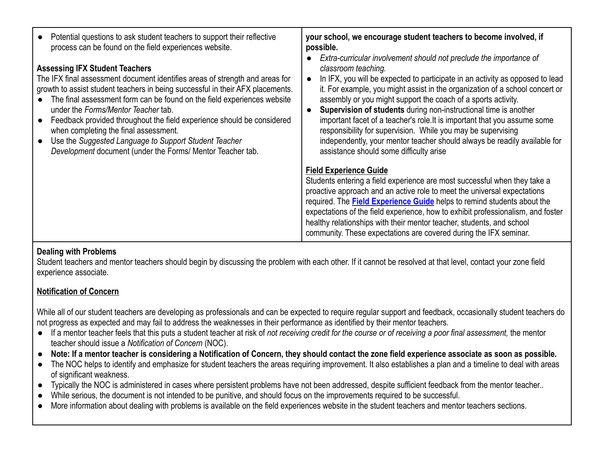| Potential questions to ask student teachers to support their reflective<br>process can be found on the field experiences website.<br><b>Assessing IFX Student Teachers</b><br>The IFX final assessment document identifies areas of strength and areas for<br>growth to assist student teachers in being successful in their AFX placements.<br>The final assessment form can be found on the field experiences website<br>under the Forms/Mentor Teacher tab.<br>Feedback provided throughout the field experience should be considered<br>when completing the final assessment.<br>Use the Suggested Language to Support Student Teacher<br>Development document (under the Forms/ Mentor Teacher tab. | your school, we encourage student teachers to become involved, if<br>possible.<br>Extra-curricular involvement should not preclude the importance of<br>classroom teaching.<br>In IFX, you will be expected to participate in an activity as opposed to lead<br>$\bullet$<br>it. For example, you might assist in the organization of a school concert or<br>assembly or you might support the coach of a sports activity.<br>Supervision of students during non-instructional time is another<br>$\bullet$<br>important facet of a teacher's role. It is important that you assume some<br>responsibility for supervision. While you may be supervising<br>independently, your mentor teacher should always be readily available for<br>assistance should some difficulty arise |
|----------------------------------------------------------------------------------------------------------------------------------------------------------------------------------------------------------------------------------------------------------------------------------------------------------------------------------------------------------------------------------------------------------------------------------------------------------------------------------------------------------------------------------------------------------------------------------------------------------------------------------------------------------------------------------------------------------|----------------------------------------------------------------------------------------------------------------------------------------------------------------------------------------------------------------------------------------------------------------------------------------------------------------------------------------------------------------------------------------------------------------------------------------------------------------------------------------------------------------------------------------------------------------------------------------------------------------------------------------------------------------------------------------------------------------------------------------------------------------------------------|
|                                                                                                                                                                                                                                                                                                                                                                                                                                                                                                                                                                                                                                                                                                          | <b>Field Experience Guide</b><br>Students entering a field experience are most successful when they take a<br>proactive approach and an active role to meet the universal expectations<br>required. The <b>Field Experience Guide</b> helps to remind students about the<br>expectations of the field experience, how to exhibit professionalism, and foster<br>healthy relationships with their mentor teacher, students, and school<br>community. These expectations are covered during the IFX seminar.                                                                                                                                                                                                                                                                       |

#### **Dealing with Problems**

Student teachers and mentor teachers should begin by discussing the problem with each other. If it cannot be resolved at that level, contact your zone field experience associate.

#### **[Notification of Concern](https://fieldexperiences.ualberta.ca/mentor-teachers#notification-of-concern)**

While all of our student teachers are developing as professionals and can be expected to require regular support and feedback, occasionally student teachers do not progress as expected and may fail to address the weaknesses in their performance as identified by their mentor teachers.

- If a mentor teacher feels that this puts a student teacher at risk of *not receiving credit for the course or of receiving a poor final assessment,* the mentor teacher should issue a *Notification of Concern* (NOC).
- **Note: If a mentor teacher is considering a Notification of Concern, they should contact the zone field experience associate as soon as possible.**
- The NOC helps to identify and emphasize for student teachers the areas requiring improvement. It also establishes a plan and a timeline to deal with areas of significant weakness.
- Typically the NOC is administered in cases where persistent problems have not been addressed, despite sufficient feedback from the mentor teacher..
- While serious, the document is not intended to be punitive, and should focus on the improvements required to be successful.
- More information about dealing with problems is available on the field experiences website in the student teachers and mentor teachers sections.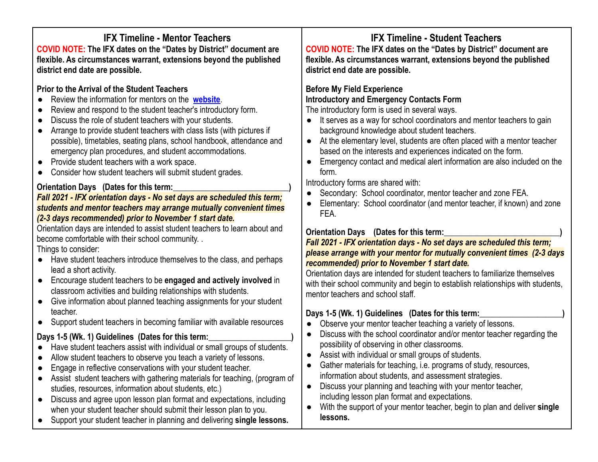# **IFX Timeline - Mentor Teachers**

**COVID NOTE: The IFX dates on the "Dates by District" document are flexible. As circumstances warrant, extensions beyond the published district end date are possible.**

# **Prior to the Arrival of the Student Teachers**

- **Review the information for mentors on the [website](https://fieldexperiences.ualberta.ca/home/).**
- Review and respond to the student teacher's introductory form.
- Discuss the role of student teachers with your students.
- Arrange to provide student teachers with class lists (with pictures if possible), timetables, seating plans, school handbook, attendance and emergency plan procedures, and student accommodations.
- Provide student teachers with a work space.
- Consider how student teachers will submit student grades.

### **Orientation Days** (Dates for this term:

#### *Fall 2021 - IFX orientation days - No set days are scheduled this term; students and mentor teachers may arrange mutually convenient times (2-3 days recommended) prior to November 1 start date.*

Orientation days are intended to assist student teachers to learn about and become comfortable with their school community. .

Things to consider:

- Have student teachers introduce themselves to the class, and perhaps lead a short activity.
- Encourage student teachers to be **engaged and actively involved** in classroom activities and building relationships with students.
- Give information about planned teaching assignments for your student teacher.
- Support student teachers in becoming familiar with available resources

# Days 1-5 (Wk. 1) Guidelines (Dates for this term:

- Have student teachers assist with individual or small groups of students.
- Allow student teachers to observe you teach a variety of lessons.
- Engage in reflective conservations with your student teacher.
- Assist student teachers with gathering materials for teaching, (program of studies, resources, information about students, etc.)
- Discuss and agree upon lesson plan format and expectations, including when your student teacher should submit their lesson plan to you.
- Support your student teacher in planning and delivering **single lessons.**

**IFX Timeline - Student Teachers COVID NOTE: The IFX dates on the "Dates by District" document are flexible. As circumstances warrant, extensions beyond the published district end date are possible.**

### **Before My Field Experience Introductory and Emergency Contacts Form**

The introductory form is used in several ways.

- It serves as a way for school coordinators and mentor teachers to gain background knowledge about student teachers.
- At the elementary level, students are often placed with a mentor teacher based on the interests and experiences indicated on the form.
- Emergency contact and medical alert information are also included on the form.

Introductory forms are shared with:

- Secondary: School coordinator, mentor teacher and zone FEA.
- Elementary: School coordinator (and mentor teacher, if known) and zone FEA.

#### **Orientation Days** (Dates for this term:

#### *Fall 2021 - IFX orientation days - No set days are scheduled this term; please arrange with your mentor for mutually convenient times (2-3 days recommended) prior to November 1 start date.*

Orientation days are intended for student teachers to familiarize themselves with their school community and begin to establish relationships with students, mentor teachers and school staff.

#### Days 1-5 (Wk. 1) Guidelines (Dates for this term:

- Observe your mentor teacher teaching a variety of lessons.
- Discuss with the school coordinator and/or mentor teacher regarding the possibility of observing in other classrooms.
- Assist with individual or small groups of students.
- Gather materials for teaching, i.e. programs of study, resources, information about students, and assessment strategies.
- Discuss your planning and teaching with your mentor teacher, including lesson plan format and expectations.
- With the support of your mentor teacher, begin to plan and deliver **single lessons.**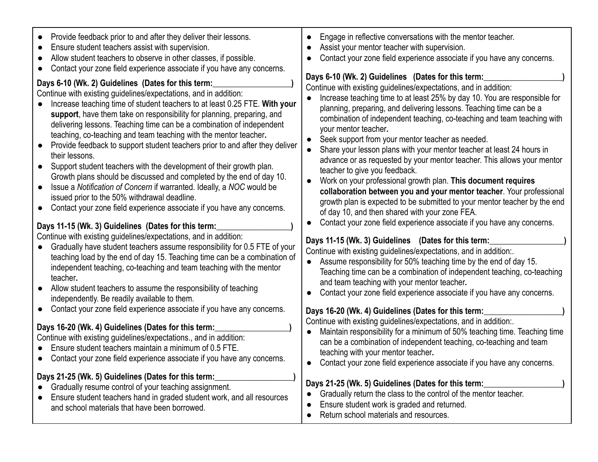| Provide feedback prior to and after they deliver their lessons.<br>Ensure student teachers assist with supervision.<br>Allow student teachers to observe in other classes, if possible.<br>Contact your zone field experience associate if you have any concerns.                                                                                                                                                                                                                                                                                                                                                                                                                                                                                                                                                                                                                                                                                                                                                                                                                                                                                                                                                                                                                                                                                                                                                                                                                                                                                                                                                                                                                                                    | Engage in reflective conversations with the mentor teacher.<br>Assist your mentor teacher with supervision.<br>Contact your zone field experience associate if you have any concerns.                                                                                                                                                                                                                                                                                                                                                                                                                                                                                                                                                                                                                                                                                                                                                                                                                                                                                                                                                                                                                                                                                                                                                                                                                                                                                                                                                                                                                                                                                                              |
|----------------------------------------------------------------------------------------------------------------------------------------------------------------------------------------------------------------------------------------------------------------------------------------------------------------------------------------------------------------------------------------------------------------------------------------------------------------------------------------------------------------------------------------------------------------------------------------------------------------------------------------------------------------------------------------------------------------------------------------------------------------------------------------------------------------------------------------------------------------------------------------------------------------------------------------------------------------------------------------------------------------------------------------------------------------------------------------------------------------------------------------------------------------------------------------------------------------------------------------------------------------------------------------------------------------------------------------------------------------------------------------------------------------------------------------------------------------------------------------------------------------------------------------------------------------------------------------------------------------------------------------------------------------------------------------------------------------------|----------------------------------------------------------------------------------------------------------------------------------------------------------------------------------------------------------------------------------------------------------------------------------------------------------------------------------------------------------------------------------------------------------------------------------------------------------------------------------------------------------------------------------------------------------------------------------------------------------------------------------------------------------------------------------------------------------------------------------------------------------------------------------------------------------------------------------------------------------------------------------------------------------------------------------------------------------------------------------------------------------------------------------------------------------------------------------------------------------------------------------------------------------------------------------------------------------------------------------------------------------------------------------------------------------------------------------------------------------------------------------------------------------------------------------------------------------------------------------------------------------------------------------------------------------------------------------------------------------------------------------------------------------------------------------------------------|
| Days 6-10 (Wk. 2) Guidelines (Dates for this term:<br>Continue with existing guidelines/expectations, and in addition:<br>Increase teaching time of student teachers to at least 0.25 FTE. With your<br>support, have them take on responsibility for planning, preparing, and<br>delivering lessons. Teaching time can be a combination of independent<br>teaching, co-teaching and team teaching with the mentor teacher.<br>Provide feedback to support student teachers prior to and after they deliver<br>their lessons.<br>Support student teachers with the development of their growth plan.<br>Growth plans should be discussed and completed by the end of day 10.<br>Issue a Notification of Concern if warranted. Ideally, a NOC would be<br>issued prior to the 50% withdrawal deadline.<br>Contact your zone field experience associate if you have any concerns.<br>Days 11-15 (Wk. 3) Guidelines (Dates for this term:<br>Continue with existing guidelines/expectations, and in addition:<br>Gradually have student teachers assume responsibility for 0.5 FTE of your<br>teaching load by the end of day 15. Teaching time can be a combination of<br>independent teaching, co-teaching and team teaching with the mentor<br>teacher.<br>Allow student teachers to assume the responsibility of teaching<br>independently. Be readily available to them.<br>Contact your zone field experience associate if you have any concerns.<br>Days 16-20 (Wk. 4) Guidelines (Dates for this term:<br>Continue with existing guidelines/expectations., and in addition:<br>Ensure student teachers maintain a minimum of 0.5 FTE.<br>Contact your zone field experience associate if you have any concerns. | Days 6-10 (Wk. 2) Guidelines (Dates for this term:<br>Continue with existing guidelines/expectations, and in addition:<br>Increase teaching time to at least 25% by day 10. You are responsible for<br>planning, preparing, and delivering lessons. Teaching time can be a<br>combination of independent teaching, co-teaching and team teaching with<br>your mentor teacher.<br>Seek support from your mentor teacher as needed.<br>Share your lesson plans with your mentor teacher at least 24 hours in<br>advance or as requested by your mentor teacher. This allows your mentor<br>teacher to give you feedback.<br>Work on your professional growth plan. This document requires<br>collaboration between you and your mentor teacher. Your professional<br>growth plan is expected to be submitted to your mentor teacher by the end<br>of day 10, and then shared with your zone FEA.<br>Contact your zone field experience associate if you have any concerns.<br>Days 11-15 (Wk. 3) Guidelines (Dates for this term:<br>Continue with existing guidelines/expectations, and in addition:.<br>Assume responsibility for 50% teaching time by the end of day 15.<br>Teaching time can be a combination of independent teaching, co-teaching<br>and team teaching with your mentor teacher.<br>Contact your zone field experience associate if you have any concerns.<br>Days 16-20 (Wk. 4) Guidelines (Dates for this term:<br>Continue with existing guidelines/expectations, and in addition:.<br>Maintain responsibility for a minimum of 50% teaching time. Teaching time<br>can be a combination of independent teaching, co-teaching and team<br>teaching with your mentor teacher. |
| Days 21-25 (Wk. 5) Guidelines (Dates for this term:<br>Gradually resume control of your teaching assignment.<br>Ensure student teachers hand in graded student work, and all resources<br>and school materials that have been borrowed.                                                                                                                                                                                                                                                                                                                                                                                                                                                                                                                                                                                                                                                                                                                                                                                                                                                                                                                                                                                                                                                                                                                                                                                                                                                                                                                                                                                                                                                                              | Contact your zone field experience associate if you have any concerns.<br>Days 21-25 (Wk. 5) Guidelines (Dates for this term:<br>Gradually return the class to the control of the mentor teacher.<br>Ensure student work is graded and returned.<br>Return school materials and resources.                                                                                                                                                                                                                                                                                                                                                                                                                                                                                                                                                                                                                                                                                                                                                                                                                                                                                                                                                                                                                                                                                                                                                                                                                                                                                                                                                                                                         |